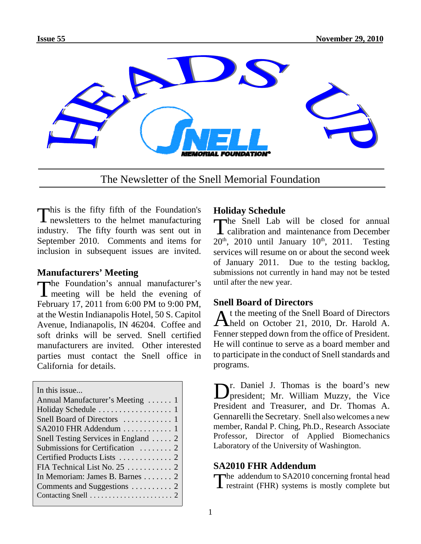

The Newsletter of the Snell Memorial Foundation

This is the fifty fifth of the Foundation's newsletters to the helmet manufacturing industry. The fifty fourth was sent out in September 2010. Comments and items for inclusion in subsequent issues are invited.

# **Manufacturers' Meeting**

The Foundation's annual manufacturer's meeting will be held the evening of February 17, 2011 from 6:00 PM to 9:00 PM, at the Westin Indianapolis Hotel, 50 S. Capitol Avenue, Indianapolis, IN 46204. Coffee and soft drinks will be served. Snell certified manufacturers are invited. Other interested parties must contact the Snell office in California for details.

In this issue... Annual Manufacturer's Meeting ...... 1 Holiday Schedule . . . . . . . . . . . . . . . . . 1 Snell Board of Directors . . . . . . . . . . . . 1 SA2010 FHR Addendum ............ 1 Snell Testing Services in England . . . . . 2 Submissions for Certification . . . . . . . . 2 Certified Products Lists ............. 2 FIA Technical List No. 25 . . . . . . . . . . . 2 In Memoriam: James B. Barnes . . . . . . . 2 Comments and Suggestions .......... 2 Contacting Snell . . . . . . . . . . . . . . . . . . . . . . 2

# **Holiday Schedule**

The Snell Lab will be closed for annual calibration and maintenance from December  $20^{\text{th}}$ ,  $2010$  until January  $10^{\text{th}}$ ,  $2011$ . Testing **L** calibration and maintenance from December  $20^{th}$ ,  $2010$  until January  $10^{th}$ ,  $2011$ . services will resume on or about the second week of January 2011. Due to the testing backlog, submissions not currently in hand may not be tested until after the new year.

# **Snell Board of Directors**

At the meeting of the Snell Board of Directors held on October 21, 2010, Dr. Harold A. Fenner stepped down from the office of President. He will continue to serve as a board member and to participate in the conduct of Snell standards and programs.

Dr. Daniel J. Thomas is the board's new president; Mr. William Muzzy, the Vice President and Treasurer, and Dr. Thomas A. Gennarelli the Secretary. Snell also welcomes a new member, Randal P. Ching, Ph.D., Research Associate Professor, Director of Applied Biomechanics Laboratory of the University of Washington.

# **SA2010 FHR Addendum**

The addendum to SA2010 concerning frontal head  $\blacksquare$  restraint (FHR) systems is mostly complete but